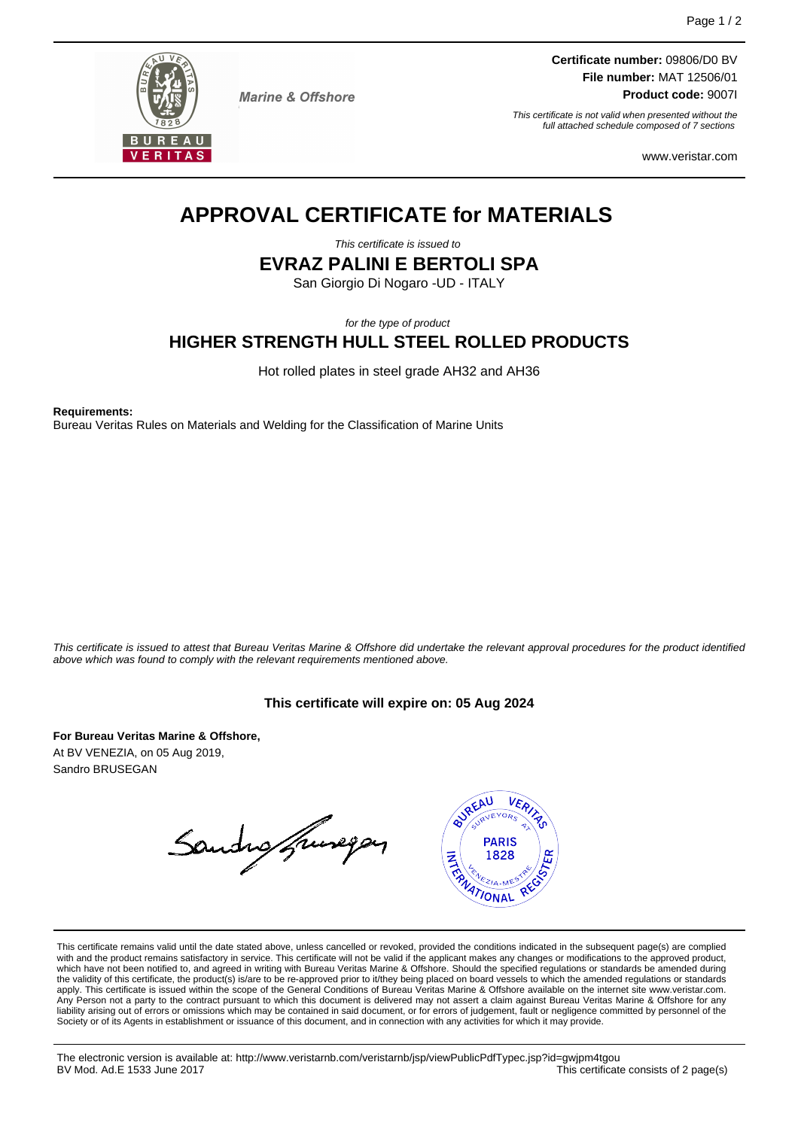

**Marine & Offshore** 

**Certificate number:** 09806/D0 BV **File number:** MAT 12506/01 **Product code:** 9007I

This certificate is not valid when presented without the full attached schedule composed of 7 sections

www.veristar.com

# **APPROVAL CERTIFICATE for MATERIALS**

This certificate is issued to

**EVRAZ PALINI E BERTOLI SPA**

San Giorgio Di Nogaro -UD - ITALY

for the type of product

**HIGHER STRENGTH HULL STEEL ROLLED PRODUCTS**

Hot rolled plates in steel grade AH32 and AH36

**Requirements:**

Bureau Veritas Rules on Materials and Welding for the Classification of Marine Units

This certificate is issued to attest that Bureau Veritas Marine & Offshore did undertake the relevant approval procedures for the product identified above which was found to comply with the relevant requirements mentioned above.

# **This certificate will expire on: 05 Aug 2024**

**For Bureau Veritas Marine & Offshore,** At BV VENEZIA, on 05 Aug 2019, Sandro BRUSEGAN

Sandro francopas



This certificate remains valid until the date stated above, unless cancelled or revoked, provided the conditions indicated in the subsequent page(s) are complied with and the product remains satisfactory in service. This certificate will not be valid if the applicant makes any changes or modifications to the approved product,<br>which have not been notified to, and agreed in writing w apply. This certificate is issued within the scope of the General Conditions of Bureau Veritas Marine & Offshore available on the internet site www.veristar.com. .<br>Person not a party to the contract pursuant to which this document is delivered may not assert a claim against Bureau Veritas Marine & Offshore for any liability arising out of errors or omissions which may be contained in said document, or for errors of judgement, fault or negligence committed by personnel of the Society or of its Agents in establishment or issuance of this document, and in connection with any activities for which it may provide.